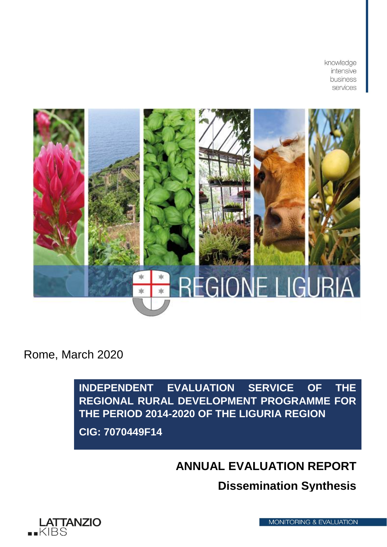knowledge intensive business services



Rome, March 2020

**INDEPENDENT EVALUATION SERVICE OF THE REGIONAL RURAL DEVELOPMENT PROGRAMME FOR THE PERIOD 2014-2020 OF THE LIGURIA REGION CIG: 7070449F14**

**ANNUAL EVALUATION REPORT**

**Dissemination Synthesis**



**MONITORING & EVALUATION**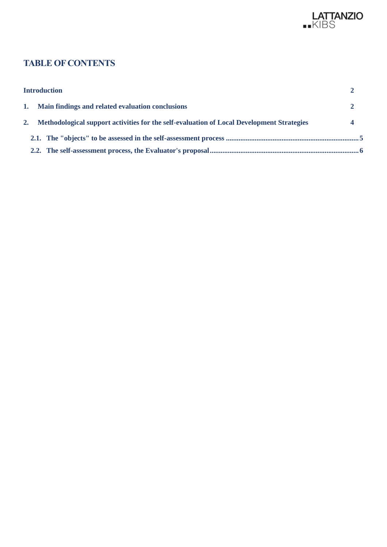

# **TABLE OF CONTENTS**

| <b>Introduction</b>                                                                          |  |
|----------------------------------------------------------------------------------------------|--|
| 1. Main findings and related evaluation conclusions                                          |  |
| 2. Methodological support activities for the self-evaluation of Local Development Strategies |  |
|                                                                                              |  |
|                                                                                              |  |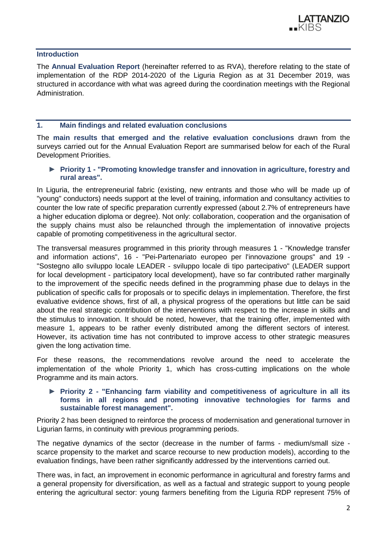<span id="page-2-0"></span>**Introduction**

The **Annual Evaluation Report** (hereinafter referred to as RVA), therefore relating to the state of implementation of the RDP 2014-2020 of the Liguria Region as at 31 December 2019, was structured in accordance with what was agreed during the coordination meetings with the Regional Administration.

## <span id="page-2-1"></span>**1. Main findings and related evaluation conclusions**

The **main results that emerged and the relative evaluation conclusions** drawn from the surveys carried out for the Annual Evaluation Report are summarised below for each of the Rural Development Priorities.

► **Priority 1 - "Promoting knowledge transfer and innovation in agriculture, forestry and rural areas".**

In Liguria, the entrepreneurial fabric (existing, new entrants and those who will be made up of "young" conductors) needs support at the level of training, information and consultancy activities to counter the low rate of specific preparation currently expressed (about 2.7% of entrepreneurs have a higher education diploma or degree). Not only: collaboration, cooperation and the organisation of the supply chains must also be relaunched through the implementation of innovative projects capable of promoting competitiveness in the agricultural sector.

The transversal measures programmed in this priority through measures 1 - "Knowledge transfer and information actions", 16 - "Pei-Partenariato europeo per l'innovazione groups" and 19 - "Sostegno allo sviluppo locale LEADER - sviluppo locale di tipo partecipativo" (LEADER support for local development - participatory local development), have so far contributed rather marginally to the improvement of the specific needs defined in the programming phase due to delays in the publication of specific calls for proposals or to specific delays in implementation. Therefore, the first evaluative evidence shows, first of all, a physical progress of the operations but little can be said about the real strategic contribution of the interventions with respect to the increase in skills and the stimulus to innovation. It should be noted, however, that the training offer, implemented with measure 1, appears to be rather evenly distributed among the different sectors of interest. However, its activation time has not contributed to improve access to other strategic measures given the long activation time.

For these reasons, the recommendations revolve around the need to accelerate the implementation of the whole Priority 1, which has cross-cutting implications on the whole Programme and its main actors.

## ► **Priority 2 - "Enhancing farm viability and competitiveness of agriculture in all its forms in all regions and promoting innovative technologies for farms and sustainable forest management".**

Priority 2 has been designed to reinforce the process of modernisation and generational turnover in Ligurian farms, in continuity with previous programming periods.

The negative dynamics of the sector (decrease in the number of farms - medium/small size scarce propensity to the market and scarce recourse to new production models), according to the evaluation findings, have been rather significantly addressed by the interventions carried out.

There was, in fact, an improvement in economic performance in agricultural and forestry farms and a general propensity for diversification, as well as a factual and strategic support to young people entering the agricultural sector: young farmers benefiting from the Liguria RDP represent 75% of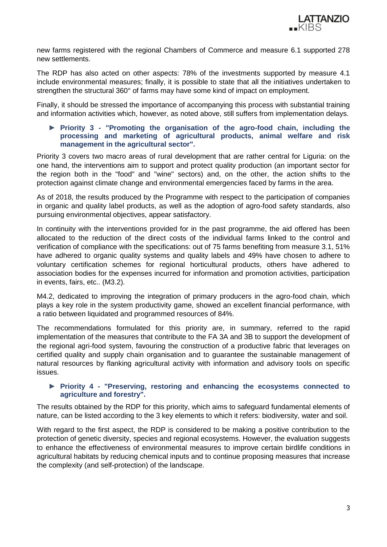

new farms registered with the regional Chambers of Commerce and measure 6.1 supported 278 new settlements.

The RDP has also acted on other aspects: 78% of the investments supported by measure 4.1 include environmental measures; finally, it is possible to state that all the initiatives undertaken to strengthen the structural 360° of farms may have some kind of impact on employment.

Finally, it should be stressed the importance of accompanying this process with substantial training and information activities which, however, as noted above, still suffers from implementation delays.

## ► **Priority 3 - "Promoting the organisation of the agro-food chain, including the processing and marketing of agricultural products, animal welfare and risk management in the agricultural sector".**

Priority 3 covers two macro areas of rural development that are rather central for Liguria: on the one hand, the interventions aim to support and protect quality production (an important sector for the region both in the "food" and "wine" sectors) and, on the other, the action shifts to the protection against climate change and environmental emergencies faced by farms in the area.

As of 2018, the results produced by the Programme with respect to the participation of companies in organic and quality label products, as well as the adoption of agro-food safety standards, also pursuing environmental objectives, appear satisfactory.

In continuity with the interventions provided for in the past programme, the aid offered has been allocated to the reduction of the direct costs of the individual farms linked to the control and verification of compliance with the specifications: out of 75 farms benefiting from measure 3.1, 51% have adhered to organic quality systems and quality labels and 49% have chosen to adhere to voluntary certification schemes for regional horticultural products, others have adhered to association bodies for the expenses incurred for information and promotion activities, participation in events, fairs, etc.. (M3.2).

M4.2, dedicated to improving the integration of primary producers in the agro-food chain, which plays a key role in the system productivity game, showed an excellent financial performance, with a ratio between liquidated and programmed resources of 84%.

The recommendations formulated for this priority are, in summary, referred to the rapid implementation of the measures that contribute to the FA 3A and 3B to support the development of the regional agri-food system, favouring the construction of a productive fabric that leverages on certified quality and supply chain organisation and to guarantee the sustainable management of natural resources by flanking agricultural activity with information and advisory tools on specific issues.

## ► **Priority 4 - "Preserving, restoring and enhancing the ecosystems connected to agriculture and forestry".**

The results obtained by the RDP for this priority, which aims to safeguard fundamental elements of nature, can be listed according to the 3 key elements to which it refers: biodiversity, water and soil.

With regard to the first aspect, the RDP is considered to be making a positive contribution to the protection of genetic diversity, species and regional ecosystems. However, the evaluation suggests to enhance the effectiveness of environmental measures to improve certain birdlife conditions in agricultural habitats by reducing chemical inputs and to continue proposing measures that increase the complexity (and self-protection) of the landscape.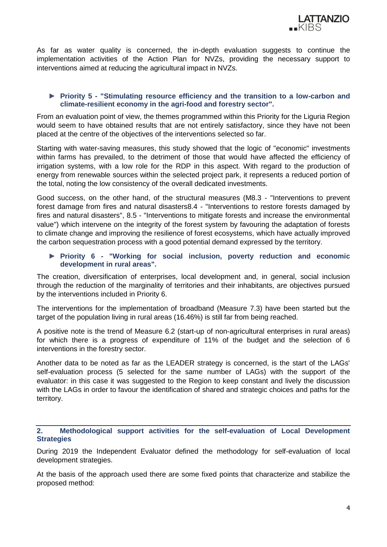

As far as water quality is concerned, the in-depth evaluation suggests to continue the implementation activities of the Action Plan for NVZs, providing the necessary support to interventions aimed at reducing the agricultural impact in NVZs.

# ► **Priority 5 - "Stimulating resource efficiency and the transition to a low-carbon and climate-resilient economy in the agri-food and forestry sector".**

From an evaluation point of view, the themes programmed within this Priority for the Liguria Region would seem to have obtained results that are not entirely satisfactory, since they have not been placed at the centre of the objectives of the interventions selected so far.

Starting with water-saving measures, this study showed that the logic of "economic" investments within farms has prevailed, to the detriment of those that would have affected the efficiency of irrigation systems, with a low role for the RDP in this aspect. With regard to the production of energy from renewable sources within the selected project park, it represents a reduced portion of the total, noting the low consistency of the overall dedicated investments.

Good success, on the other hand, of the structural measures (M8.3 - "Interventions to prevent forest damage from fires and natural disasters8.4 - "Interventions to restore forests damaged by fires and natural disasters", 8.5 - "Interventions to mitigate forests and increase the environmental value") which intervene on the integrity of the forest system by favouring the adaptation of forests to climate change and improving the resilience of forest ecosystems, which have actually improved the carbon sequestration process with a good potential demand expressed by the territory.

# ► **Priority 6 - "Working for social inclusion, poverty reduction and economic development in rural areas".**

The creation, diversification of enterprises, local development and, in general, social inclusion through the reduction of the marginality of territories and their inhabitants, are objectives pursued by the interventions included in Priority 6.

The interventions for the implementation of broadband (Measure 7.3) have been started but the target of the population living in rural areas (16.46%) is still far from being reached.

A positive note is the trend of Measure 6.2 (start-up of non-agricultural enterprises in rural areas) for which there is a progress of expenditure of 11% of the budget and the selection of 6 interventions in the forestry sector.

Another data to be noted as far as the LEADER strategy is concerned, is the start of the LAGs' self-evaluation process (5 selected for the same number of LAGs) with the support of the evaluator: in this case it was suggested to the Region to keep constant and lively the discussion with the LAGs in order to favour the identification of shared and strategic choices and paths for the territory.

<span id="page-4-0"></span>**2. Methodological support activities for the self-evaluation of Local Development Strategies**

During 2019 the Independent Evaluator defined the methodology for self-evaluation of local development strategies.

At the basis of the approach used there are some fixed points that characterize and stabilize the proposed method: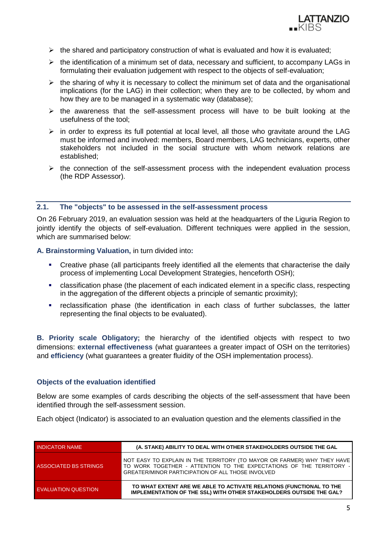

- $\triangleright$  the shared and participatory construction of what is evaluated and how it is evaluated;
- $\triangleright$  the identification of a minimum set of data, necessary and sufficient, to accompany LAGs in formulating their evaluation judgement with respect to the objects of self-evaluation;
- $\triangleright$  the sharing of why it is necessary to collect the minimum set of data and the organisational implications (for the LAG) in their collection; when they are to be collected, by whom and how they are to be managed in a systematic way (database);
- $\triangleright$  the awareness that the self-assessment process will have to be built looking at the usefulness of the tool;
- $\triangleright$  in order to express its full potential at local level, all those who gravitate around the LAG must be informed and involved: members, Board members, LAG technicians, experts, other stakeholders not included in the social structure with whom network relations are established;
- $\triangleright$  the connection of the self-assessment process with the independent evaluation process (the RDP Assessor).

## <span id="page-5-0"></span>**2.1. The "objects" to be assessed in the self-assessment process**

On 26 February 2019, an evaluation session was held at the headquarters of the Liguria Region to jointly identify the objects of self-evaluation. Different techniques were applied in the session, which are summarised below:

**A. Brainstorming Valuation,** in turn divided into**:**

- Creative phase (all participants freely identified all the elements that characterise the daily process of implementing Local Development Strategies, henceforth OSH);
- classification phase (the placement of each indicated element in a specific class, respecting in the aggregation of the different objects a principle of semantic proximity);
- reclassification phase (the identification in each class of further subclasses, the latter representing the final objects to be evaluated).

**B. Priority scale Obligatory;** the hierarchy of the identified objects with respect to two dimensions: **external effectiveness** (what guarantees a greater impact of OSH on the territories) and **efficiency** (what guarantees a greater fluidity of the OSH implementation process).

## **Objects of the evaluation identified**

Below are some examples of cards describing the objects of the self-assessment that have been identified through the self-assessment session.

Each object (Indicator) is associated to an evaluation question and the elements classified in the

| <b>INDICATOR NAME</b> | (A. STAKE) ABILITY TO DEAL WITH OTHER STAKEHOLDERS OUTSIDE THE GAL                                                                                                                                |  |  |  |  |
|-----------------------|---------------------------------------------------------------------------------------------------------------------------------------------------------------------------------------------------|--|--|--|--|
| ASSOCIATED BS STRINGS | NOT EASY TO EXPLAIN IN THE TERRITORY (TO MAYOR OR FARMER) WHY THEY HAVE<br>TO WORK TOGETHER - ATTENTION TO THE EXPECTATIONS OF THE TERRITORY<br>GREATER/MINOR PARTICIPATION OF ALL THOSE INVOLVED |  |  |  |  |
| EVALUATION QUESTION   | TO WHAT EXTENT ARE WE ABLE TO ACTIVATE RELATIONS (FUNCTIONAL TO THE<br><b>IMPLEMENTATION OF THE SSL) WITH OTHER STAKEHOLDERS OUTSIDE THE GAL?</b>                                                 |  |  |  |  |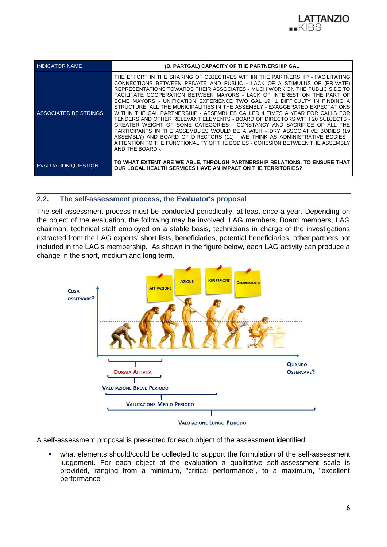

| <b>INDICATOR NAME</b>        | (B. PARTGAL) CAPACITY OF THE PARTNERSHIP GAL                                                                                                                                                                                                                                                                                                                                                                                                                                                                                                                                                                                                                                                                                                                                                                                                                                                                                                                                               |  |  |  |  |
|------------------------------|--------------------------------------------------------------------------------------------------------------------------------------------------------------------------------------------------------------------------------------------------------------------------------------------------------------------------------------------------------------------------------------------------------------------------------------------------------------------------------------------------------------------------------------------------------------------------------------------------------------------------------------------------------------------------------------------------------------------------------------------------------------------------------------------------------------------------------------------------------------------------------------------------------------------------------------------------------------------------------------------|--|--|--|--|
| <b>ASSOCIATED BS STRINGS</b> | THE EFFORT IN THE SHARING OF OBJECTIVES WITHIN THE PARTNERSHIP - FACILITATING<br>CONNECTIONS BETWEEN PRIVATE AND PUBLIC - LACK OF A STIMULUS OF (PRIVATE)<br>REPRESENTATIONS TOWARDS THEIR ASSOCIATES - MUCH WORK ON THE PUBLIC SIDE TO<br>FACILITATE COOPERATION BETWEEN MAYORS - LACK OF INTEREST ON THE PART OF<br>SOME MAYORS - UNIFICATION EXPERIENCE TWO GAL 19, 1 DIFFICULTY IN FINDING A<br>STRUCTURE, ALL THE MUNICIPALITIES IN THE ASSEMBLY - EXAGGERATED EXPECTATIONS<br>WITHIN THE GAL PARTNERSHIP - ASSEMBLIES CALLED 4 TIMES A YEAR FOR CALLS FOR<br>TENDERS AND OTHER RELEVANT ELEMENTS - BOARD OF DIRECTORS WITH 20 SUBJECTS -<br>GREATER WEIGHT OF SOME CATEGORIES - CONSTANCY AND SACRIFICE OF ALL THE<br>PARTICIPANTS IN THE ASSEMBLIES WOULD BE A WISH - DRY ASSOCIATIVE BODIES (19<br>ASSEMBLY) AND BOARD OF DIRECTORS (11) - WE THINK AS ADMINISTRATIVE BODIES -<br>ATTENTION TO THE FUNCTIONALITY OF THE BODIES - COHESION BETWEEN THE ASSEMBLY<br>AND THE BOARD -. |  |  |  |  |
| <b>EVALUATION QUESTION</b>   | TO WHAT EXTENT ARE WE ABLE, THROUGH PARTNERSHIP RELATIONS, TO ENSURE THAT<br><b>OUR LOCAL HEALTH SERVICES HAVE AN IMPACT ON THE TERRITORIES?</b>                                                                                                                                                                                                                                                                                                                                                                                                                                                                                                                                                                                                                                                                                                                                                                                                                                           |  |  |  |  |

## <span id="page-6-0"></span>**2.2. The self-assessment process, the Evaluator's proposal**

The self-assessment process must be conducted periodically, at least once a year. Depending on the object of the evaluation, the following may be involved: LAG members, Board members, LAG chairman, technical staff employed on a stable basis, technicians in charge of the investigations extracted from the LAG experts' short lists, beneficiaries, potential beneficiaries, other partners not included in the LAG's membership. As shown in the figure below, each LAG activity can produce a change in the short, medium and long term.



A self-assessment proposal is presented for each object of the assessment identified:

 what elements should/could be collected to support the formulation of the self-assessment judgement. For each object of the evaluation a qualitative self-assessment scale is provided, ranging from a minimum, "critical performance", to a maximum, "excellent performance";